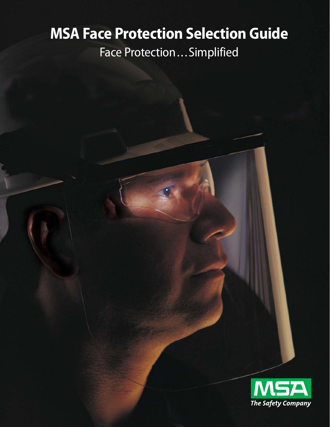# **MSA Face Protection Selection Guide**

Face Protection...Simplified

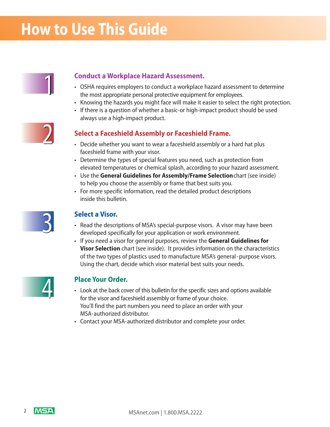# **How to Use This Guide**



# 1 **Conduct a Workplace Hazard Assessment.**

- OSHA requires employers to conduct a workplace hazard assessment to determine the most appropriate personal protective equipment for employees.
- Knowing the hazards you might face will make it easier to select the right protection.
- If there is a question of whether a basic-or high-impact product should be used always use a high-impact product.



# **Select a Faceshield Assembly or Faceshield Frame.**

- Decide whether you want to wear a faceshield assembly or a hard hat plus faceshield frame with your visor.
- Determine the types of special features you need, such as protection from elevated temperatures or chemical splash, according to your hazard assessment.
- Use the **General Guidelines for Assembly/Frame Selection**chart (see inside) to help you choose the assembly or frame that best suits you.
- For more specific information, read the detailed product descriptions inside this bulletin.



# **Select a Visor.**

- Read the descriptions of MSA's special-purpose visors. A visor may have been developed specifically for your application or work environment.
- If you need a visor for general purposes, review the **General Guidelines for Visor Selection** chart (see inside). It provides information on the characteristics of the two types of plastics used to manufacture MSA's general-purpose visors. Using the chart, decide which visor material best suits your needs.



# **Place Your Order.**

- Look at the back cover of this bulletin for the specific sizes and options available for the visor and faceshield assembly or frame of your choice. You'll find the part numbers you need to place an order with your MSA-authorized distributor.
- Contact your MSA-authorized distributor and complete your order.

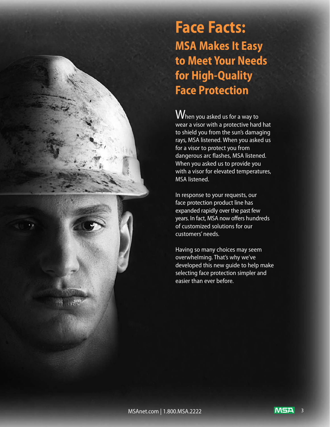**Face Facts: MSA Makes It Easy to Meet Your Needs for High-Quality Face Protection**

 $\overline{\mathsf{W}}$ hen you asked us for a way to wear a visor with a protective hard hat to shield you from the sun's damaging rays, MSA listened. When you asked us for a visor to protect you from dangerous arc flashes, MSA listened. When you asked us to provide you with a visor for elevated temperatures, MSA listened.

In response to your requests, our face protection product line has expanded rapidly over the past few years. In fact, MSA now offers hundreds of customized solutions for our customers' needs.

Having so many choices may seem overwhelming. That's why we've developed this new guide to help make selecting face protection simpler and easier than ever before.

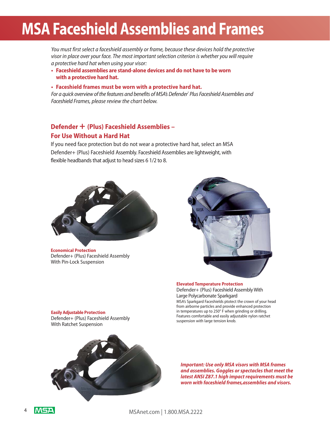# **MSA Faceshield Assemblies and Frames**

*You must first select a faceshield assembly or frame, because these devices hold the protective visor in place over your face. The most important selection criterion is whether you will require a protective hard hat when using your visor:*

**• Faceshield assemblies are stand-alone devices and do not have to be worn with a protective hard hat.**

#### **• Faceshield frames must be worn with a protective hard hat.**

*For a quick overview of the features and benefits of MSA's Defender® Plus Faceshield Assemblies and Faceshield Frames, please review the chart below.*

# **Defender + (Plus) Faceshield Assemblies – For Use Without a Hard Hat**

If you need face protection but do not wear a protective hard hat, select an MSA Defender+ (Plus) Faceshield Assembly. Faceshield Assemblies are lightweight, with flexible headbands that adjust to head sizes 6 1/2 to 8.



**Economical Protection** Defender+ (Plus) Faceshield Assembly With Pin-Lock Suspension



**Elevated Temperature Protection** Defender+ (Plus) Faceshield Assembly With Large Polycarbonate Sparkgard MSA's Sparkgard Faceshields ptotect the crown of your head from airborne particles and provide enhanced protection in temperatures up to 250° F when grinding or drilling. Features comfortable and easily adjustable nylon ratchet suspension with large tension knob.

**Easily Adjustable Protection** Defender+ (Plus) Faceshield Assembly With Ratchet Suspension



*Important: Use only MSA visors with MSA frames and assemblies. Goggles or spectacles that meet the latest ANSI Z87.1 high impact requirements must be worn with faceshield frames,assemblies and visors.*

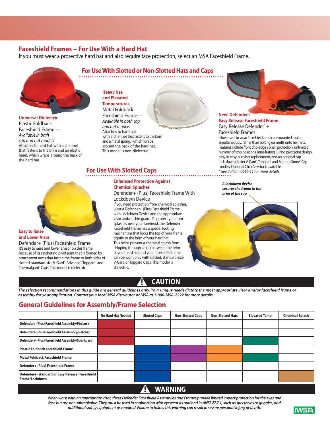## **Faceshield Frames – For Use With a Hard Hat**

If you must wear a protective hard hat and also require face protection, select an MSA Faceshield Frame.



**Universal Dielectric** Plastic Foldback Faceshield Frame — *Available in both cap and hat models* Attaches to hard hat with a channel that fastens to the brim and an elastic band, which wraps around the back of the hard hat.



# **and Lower Visor**

Defender+ (Plus) Faceshield Frame It's easy to raise and lower a visor on this frame, because of its ratcheting pivot joint that is formed by attachment arms that fasten the frame to both sides of slotted, standard-size V-Gard°, Advance°, Topgard° and Thermalgard<sup>®</sup> Caps. This model is dielectric.

# **For Use With Slotted or Non-Slotted Hats and Caps**

**Heavy Use and Elevated Temperatures** Metal Foldback Faceshield Frame — *Available in both cap and hat models* Attaches to hard hat with a channel that fastens to the brim and a metal spring, which wraps around the back of the hard hat. This model is non-dielectric.

# **For Use With Slotted Caps**

### **Enhanced Protection Against Chemical Splashes**

Defender+ (Plus) Faceshield Frame With Lockdown Device

If you need protection from chemical splashes, wear a Defender+ (Plus) Faceshield Frame with Lockdown Device and the appropriate visor and/or chin guard. To protect you from splashes near your forehead, the Defender Faceshield Frame has a special locking mechanism that locks the top of your frame tightly to the brim of your hard hat. This helps prevent a chemical splash from dripping through a gap between the brim of your hard hat and your faceshield frame. Can be worn only with slotted, standard-size V-Gard or Topgard Caps. This model is dielectric.



### **New! Defender+ Easy Release Faceshield Frame** Easy Release Defender® + Faceshield Frames

allow users to wear faceshields and cap-mounted muffs simultaneously, rather than bolting earmuffs onto helmets. Features include front drip-edge splash protection, unlimited number of stop positions, long-lasting O-ring pivot joint design, easy-in easy-out visor replacement, and an optional cap lock-down clip for V-Gard<sup>®</sup>, Topgard® and SmoothDome® Cap models. Optional Chip Arrestor is available. *\* See Bulletin 0616-11 for more details*

*A lockdown device secures the frame to the brim of the cap*

# s**! CAUTION**

*The selection recommendations in this guide are general guidelines only. Your unique needs dictate the most appropriate visor and/or faceshield frame or assembly for your application. Contact your local MSA distributor or MSA at 1-800-MSA-2222 for more details.*

# **General Guidelines for Assembly/Frame Selection**

|                                                                   | <b>No Hard Hat Needed</b> | <b>Slotted Caps</b> | <b>Non-Slotted Caps</b> | <b>Non-Slotted Hats</b> | <b>Elevated Temp</b> | <b>Chemical Splash</b> |
|-------------------------------------------------------------------|---------------------------|---------------------|-------------------------|-------------------------|----------------------|------------------------|
| Defender+ (Plus) Faceshield Assembly/Pin Lock                     |                           |                     |                         |                         |                      |                        |
| Defender+ (Plus) Faceshield Asssembly/Ratchet                     |                           |                     |                         |                         |                      |                        |
| Defender+ (Plus) Faceshield Assembly/Sparkgard                    |                           |                     |                         |                         |                      |                        |
| <b>Plastic Foldback Faceshield Frame</b>                          |                           |                     |                         |                         |                      |                        |
| Metal Foldback Faceshield Frame                                   |                           |                     |                         |                         |                      |                        |
| Defender+ (Plus) Faceshield Frame                                 |                           |                     |                         |                         |                      |                        |
| Defender+ (standard or Easy Release) Faceshield<br>Frame/Lockdown |                           |                     |                         |                         |                      |                        |
|                                                                   |                           |                     |                         |                         |                      |                        |



*When worn with an appropriate visor, these Defender Faceshield Assemblies and Frames provide limited impact protection for the eyes and face but are not unbreakable. They must be used in conjunction with eyewear as outlined in ANSI Z87.1, such as spectacles or goggles, and additional safety equipment as required. Failure to follow this warning can result in severe personal injury or death.*

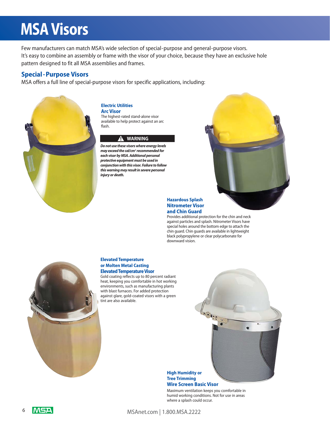# **MSA Visors**

Few manufacturers can match MSA's wide selection of special-purpose and general-purpose visors. It's easy to combine an assembly or frame with the visor of your choice, because they have an exclusive hole pattern designed to fit all MSA assemblies and frames.

## **Special - Purpose Visors**

MSA offers a full line of special-purpose visors for specific applications, including:



#### **Electric Utilities Arc Visor**

The highest-rated stand-alone visor available to help protect against an arc flash.

#### s**! WARNING**

*Do not use these visors where energy levels may exceed the cal/cm2 recommended for each visor by MSA. Additional personal protective equipment must be used in conjunction with this visor. Failure to follow this warning may result in severe personal injury or death.*



#### **Hazardous Splash Nitrometer Visor and Chin Guard**

Provides additional protection for the chin and neck against particles and splash. Nitrometer Visors have special holes around the bottom edge to attach the chin guard. Chin guards are available in lightweight black polypropylene or clear polycarbonate for downward vision.



#### **Elevated Temperature or Molten Metal Casting Elevated Temperature Visor**

Gold coating reflects up to 80 percent radiant heat, keeping you comfortable in hot working environments, such as manufacturing plants with blast furnaces. For added protection against glare, gold-coated visors with a green tint are also available.



#### **High Humidity or Tree Trimming Wire Screen Basic Visor**

Maximum ventilation keeps you comfortable in humid working conditions. Not for use in areas where a splash could occur.

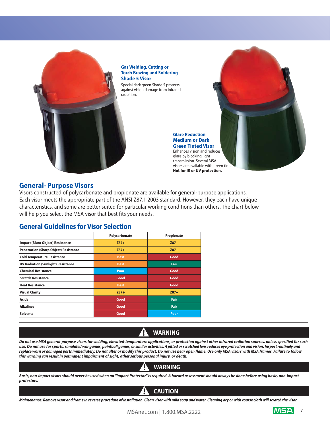

**Gas Welding, Cutting or Torch Brazing and Soldering Shade 5 Visor**

Special dark green Shade 5 protects against vision damage from infrared radiation.

> **Glare Reduction Medium or Dark Green Tinted Visor** Enhances vision and reduces glare by blocking light transmission. Several MSA visors are available with green tint. **Not for IR or UV protection.**

## **General- Purpose Visors**

Visors constructed of polycarbonate and propionate are available for general-purpose applications. Each visor meets the appropriate part of the ANSI Z87.1 2003 standard. However, they each have unique characteristics, and some are better suited for particular working conditions than others. The chart below will help you select the MSA visor that best fits your needs.

## **General Guidelines for Visor Selection**

|                                              | Polycarbonate | Propionate  |
|----------------------------------------------|---------------|-------------|
| <b>Impact (Blunt Object) Resistance</b>      | $Z87+$        | $Z87+$      |
| <b>Penetration (Sharp Object) Resistance</b> | $Z87+$        | $Z87+$      |
| <b>Cold Temperature Resistance</b>           | <b>Best</b>   | Good        |
| <b>UV Radiation (Sunlight) Resistance</b>    | <b>Best</b>   | <b>Fair</b> |
| <b>Chemical Resistance</b>                   | Poor          | Good        |
| <b>Scratch Resistance</b>                    | Good          | Good        |
| <b>Heat Resistance</b>                       | <b>Best</b>   | Good        |
| <b>Visual Clarity</b>                        | $Z87+$        | $Z87+$      |
| <b>Acids</b>                                 | Good          | <b>Fair</b> |
| <b>Alkalines</b>                             | Good          | <b>Fair</b> |
| <b>Solvents</b>                              | Good          | Poor        |

### **WARNING** s**!**

*Do not use MSA general-purpose visors for welding, elevated-temperature applications, or protection against other infrared radiation sources, unless specified for such use. Do not use for sports, simulated war games, paintball games, or similar activities. A pitted or scratched lens reduces eye protection and vision. Inspect routinely and replace worn or damaged parts immediately. Do not alter or modify this product. Do not use near open flame. Use only MSA visors with MSA frames. Failure to follow this warning can result in permanent impairment of sight, other serious personal injury, or death.* 

# s**! WARNING**

*Basic, non-impact visors should never be used when an "Impact Protector" is required. A hazard assessment should always be done before using basic, non-impact protectors.*

### **CAUTION** s**!**

*Maintenance: Remove visor and frame in reverse procedure of installation. Clean visor with mild soap and water. Cleaning dry or with coarse cloth will scratch the visor.*